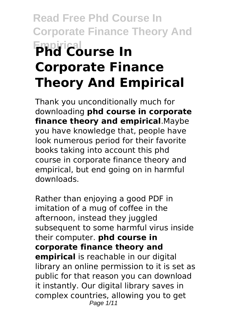# **Read Free Phd Course In Corporate Finance Theory And Empirical Phd Course In Corporate Finance Theory And Empirical**

Thank you unconditionally much for downloading **phd course in corporate finance theory and empirical**.Maybe you have knowledge that, people have look numerous period for their favorite books taking into account this phd course in corporate finance theory and empirical, but end going on in harmful downloads.

Rather than enjoying a good PDF in imitation of a mug of coffee in the afternoon, instead they juggled subsequent to some harmful virus inside their computer. **phd course in corporate finance theory and empirical** is reachable in our digital library an online permission to it is set as public for that reason you can download it instantly. Our digital library saves in complex countries, allowing you to get Page 1/11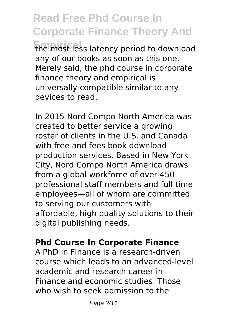**Read Free Phd Course In Corporate Finance Theory And Empirical** the most less latency period to download any of our books as soon as this one. Merely said, the phd course in corporate finance theory and empirical is universally compatible similar to any devices to read.

In 2015 Nord Compo North America was created to better service a growing roster of clients in the U.S. and Canada with free and fees book download production services. Based in New York City, Nord Compo North America draws from a global workforce of over 450 professional staff members and full time employees—all of whom are committed to serving our customers with affordable, high quality solutions to their digital publishing needs.

#### **Phd Course In Corporate Finance**

A PhD in Finance is a research-driven course which leads to an advanced-level academic and research career in Finance and economic studies. Those who wish to seek admission to the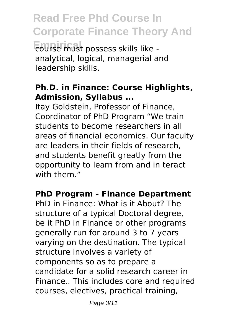**Read Free Phd Course In Corporate Finance Theory And Empirical** course must possess skills like analytical, logical, managerial and leadership skills.

### **Ph.D. in Finance: Course Highlights, Admission, Syllabus ...**

Itay Goldstein, Professor of Finance, Coordinator of PhD Program "We train students to become researchers in all areas of financial economics. Our faculty are leaders in their fields of research, and students benefit greatly from the opportunity to learn from and in teract with them."

#### **PhD Program - Finance Department**

PhD in Finance: What is it About? The structure of a typical Doctoral degree, be it PhD in Finance or other programs generally run for around 3 to 7 years varying on the destination. The typical structure involves a variety of components so as to prepare a candidate for a solid research career in Finance.. This includes core and required courses, electives, practical training,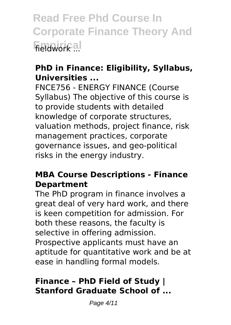**Read Free Phd Course In Corporate Finance Theory And Empirical** fieldwork ...

# **PhD in Finance: Eligibility, Syllabus, Universities ...**

FNCE756 - ENERGY FINANCE (Course Syllabus) The objective of this course is to provide students with detailed knowledge of corporate structures, valuation methods, project finance, risk management practices, corporate governance issues, and geo-political risks in the energy industry.

#### **MBA Course Descriptions - Finance Department**

The PhD program in finance involves a great deal of very hard work, and there is keen competition for admission. For both these reasons, the faculty is selective in offering admission. Prospective applicants must have an aptitude for quantitative work and be at ease in handling formal models.

# **Finance – PhD Field of Study | Stanford Graduate School of ...**

Page 4/11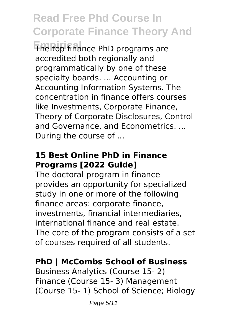**Empirical** The top finance PhD programs are accredited both regionally and programmatically by one of these specialty boards. ... Accounting or Accounting Information Systems. The concentration in finance offers courses like Investments, Corporate Finance, Theory of Corporate Disclosures, Control and Governance, and Econometrics. ... During the course of ...

# **15 Best Online PhD in Finance Programs [2022 Guide]**

The doctoral program in finance provides an opportunity for specialized study in one or more of the following finance areas: corporate finance, investments, financial intermediaries, international finance and real estate. The core of the program consists of a set of courses required of all students.

#### **PhD | McCombs School of Business**

Business Analytics (Course 15- 2) Finance (Course 15- 3) Management (Course 15- 1) School of Science; Biology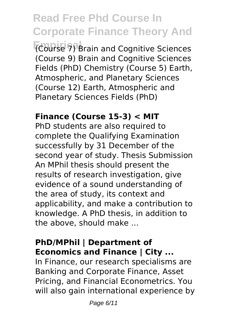**Empirical** (Course 7) Brain and Cognitive Sciences (Course 9) Brain and Cognitive Sciences Fields (PhD) Chemistry (Course 5) Earth, Atmospheric, and Planetary Sciences (Course 12) Earth, Atmospheric and Planetary Sciences Fields (PhD)

#### **Finance (Course 15-3) < MIT**

PhD students are also required to complete the Qualifying Examination successfully by 31 December of the second year of study. Thesis Submission An MPhil thesis should present the results of research investigation, give evidence of a sound understanding of the area of study, its context and applicability, and make a contribution to knowledge. A PhD thesis, in addition to the above, should make ...

#### **PhD/MPhil | Department of Economics and Finance | City ...**

In Finance, our research specialisms are Banking and Corporate Finance, Asset Pricing, and Financial Econometrics. You will also gain international experience by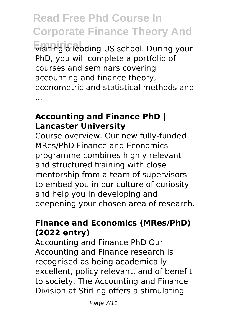**Read Free Phd Course In Corporate Finance Theory And Empirical** visiting a leading US school. During your PhD, you will complete a portfolio of courses and seminars covering accounting and finance theory, econometric and statistical methods and ...

#### **Accounting and Finance PhD | Lancaster University**

Course overview. Our new fully-funded MRes/PhD Finance and Economics programme combines highly relevant and structured training with close mentorship from a team of supervisors to embed you in our culture of curiosity and help you in developing and deepening your chosen area of research.

# **Finance and Economics (MRes/PhD) (2022 entry)**

Accounting and Finance PhD Our Accounting and Finance research is recognised as being academically excellent, policy relevant, and of benefit to society. The Accounting and Finance Division at Stirling offers a stimulating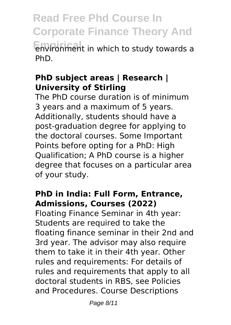**Read Free Phd Course In Corporate Finance Theory And Empirical** environment in which to study towards a PhD.

#### **PhD subject areas | Research | University of Stirling**

The PhD course duration is of minimum 3 years and a maximum of 5 years. Additionally, students should have a post-graduation degree for applying to the doctoral courses. Some Important Points before opting for a PhD: High Qualification; A PhD course is a higher degree that focuses on a particular area of your study.

# **PhD in India: Full Form, Entrance, Admissions, Courses (2022)**

Floating Finance Seminar in 4th year: Students are required to take the floating finance seminar in their 2nd and 3rd year. The advisor may also require them to take it in their 4th year. Other rules and requirements: For details of rules and requirements that apply to all doctoral students in RBS, see Policies and Procedures. Course Descriptions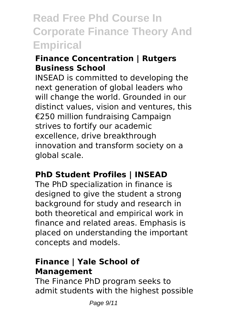# **Finance Concentration | Rutgers Business School**

INSEAD is committed to developing the next generation of global leaders who will change the world. Grounded in our distinct values, vision and ventures, this €250 million fundraising Campaign strives to fortify our academic excellence, drive breakthrough innovation and transform society on a global scale.

# **PhD Student Profiles | INSEAD**

The PhD specialization in finance is designed to give the student a strong background for study and research in both theoretical and empirical work in finance and related areas. Emphasis is placed on understanding the important concepts and models.

# **Finance | Yale School of Management**

The Finance PhD program seeks to admit students with the highest possible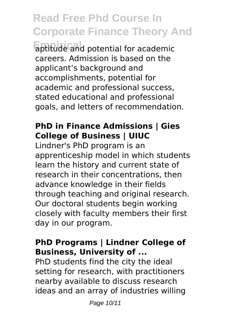**Empirical** aptitude and potential for academic careers. Admission is based on the applicant's background and accomplishments, potential for academic and professional success, stated educational and professional goals, and letters of recommendation.

# **PhD in Finance Admissions | Gies College of Business | UIUC**

Lindner's PhD program is an apprenticeship model in which students learn the history and current state of research in their concentrations, then advance knowledge in their fields through teaching and original research. Our doctoral students begin working closely with faculty members their first day in our program.

### **PhD Programs | Lindner College of Business, University of ...**

PhD students find the city the ideal setting for research, with practitioners nearby available to discuss research ideas and an array of industries willing